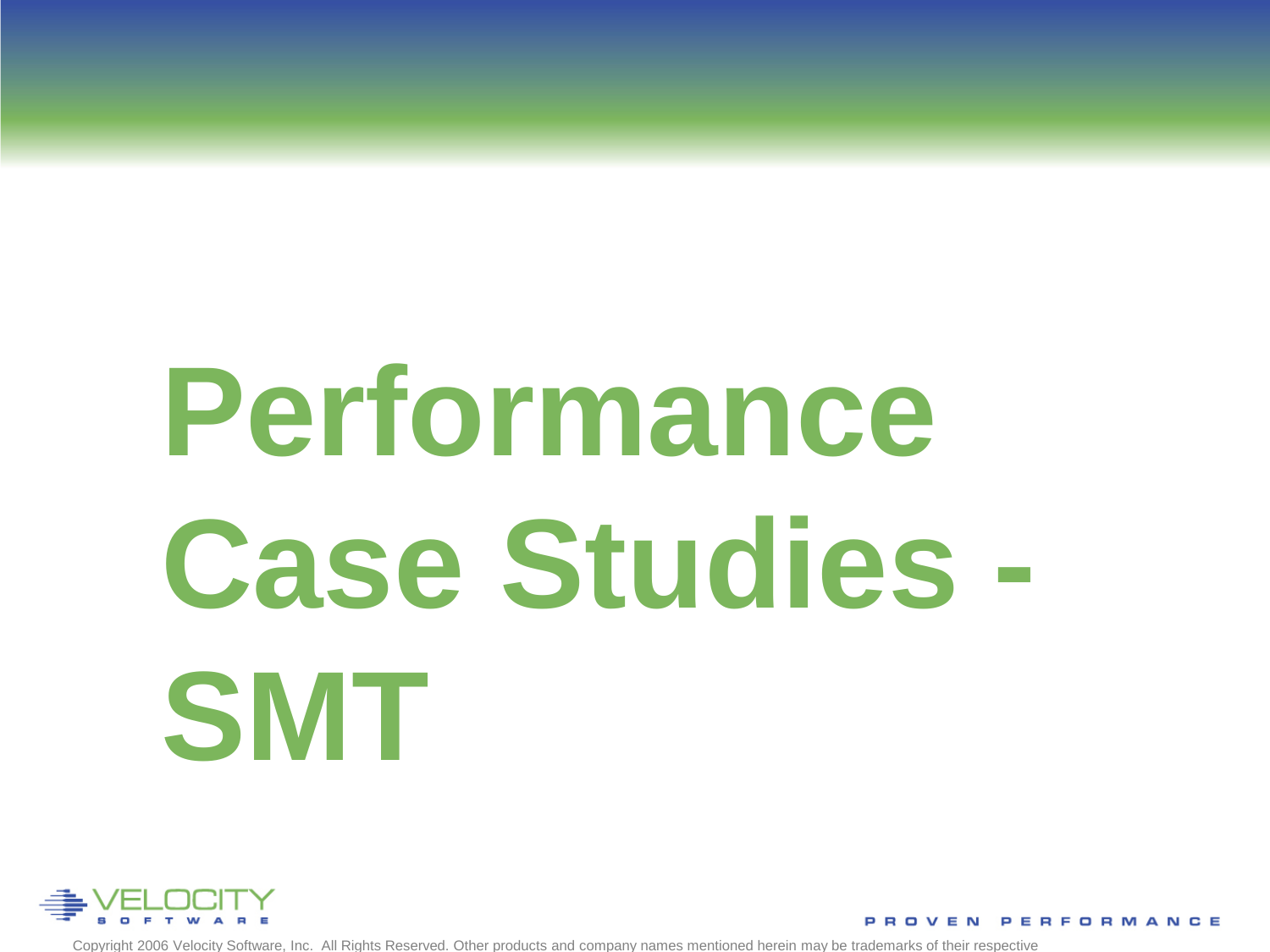# **Performance Case Studies - SMT**



Copyright 2006 Velocity Software, Inc. All Rights Reserved. Other products and company names mentioned herein may be trademarks of their respective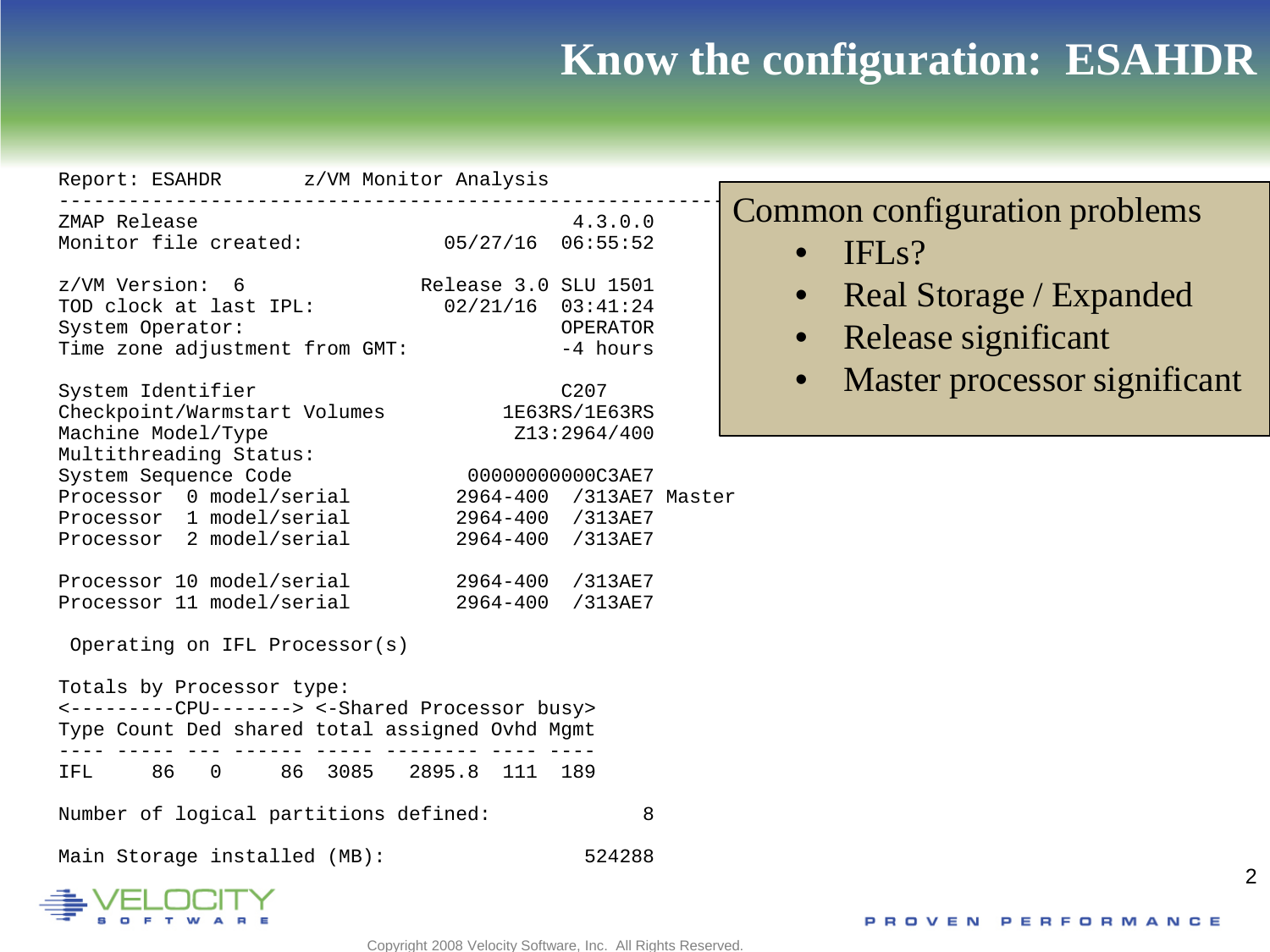#### **Know the configuration: ESAHDR**

| Report: ESAHDR z/VM Monitor Analysis                                                                                                                                                                                   |                                                                                                                             |                                                               |                                     |                                                |                              |
|------------------------------------------------------------------------------------------------------------------------------------------------------------------------------------------------------------------------|-----------------------------------------------------------------------------------------------------------------------------|---------------------------------------------------------------|-------------------------------------|------------------------------------------------|------------------------------|
| ZMAP Release<br>Monitor file created:                                                                                                                                                                                  | $05/27/16$ 06:55:52                                                                                                         | 4.3.0.0                                                       | IFL <sub>s</sub> ?<br>$\bullet$     | Common configuration problems                  |                              |
| z/VM Version: 6<br>TOD clock at last IPL: 02/21/16 03:41:24<br>System Operator:<br>Time zone adjustment from GMT:<br>System Identifier<br>Checkpoint/Warmstart Volumes<br>Machine Model/Type                           | Release 3.0 SLU 1501                                                                                                        | OPERATOR<br>-4 hours<br>C207<br>1E63RS/1E63RS<br>Z13:2964/400 | $\bullet$<br>$\bullet$<br>$\bullet$ | Real Storage / Expanded<br>Release significant | Master processor significant |
| Multithreading Status:<br>System Sequence Code<br>Processor 0 model/serial<br>Processor 1 model/serial<br>Processor 2 model/serial<br>Processor 10 model/serial<br>Processor 11 model/serial                           | 00000000000C3AE7<br>2964-400 /313AE7 Master<br>2964-400 /313AE7<br>2964-400 /313AE7<br>2964-400 /313AE7<br>2964-400 /313AE7 |                                                               |                                     |                                                |                              |
| Operating on IFL Processor(s)<br>Totals by Processor type:<br><---------CPU-------> <-Shared Processor busy><br>Type Count Ded shared total assigned Ovhd Mgmt<br>86 0<br>IFL<br>Number of logical partitions defined: | 86 3085 2895.8 111 189                                                                                                      | 8                                                             |                                     |                                                |                              |
| Main Storage installed (MB):                                                                                                                                                                                           |                                                                                                                             | 524288                                                        |                                     |                                                |                              |

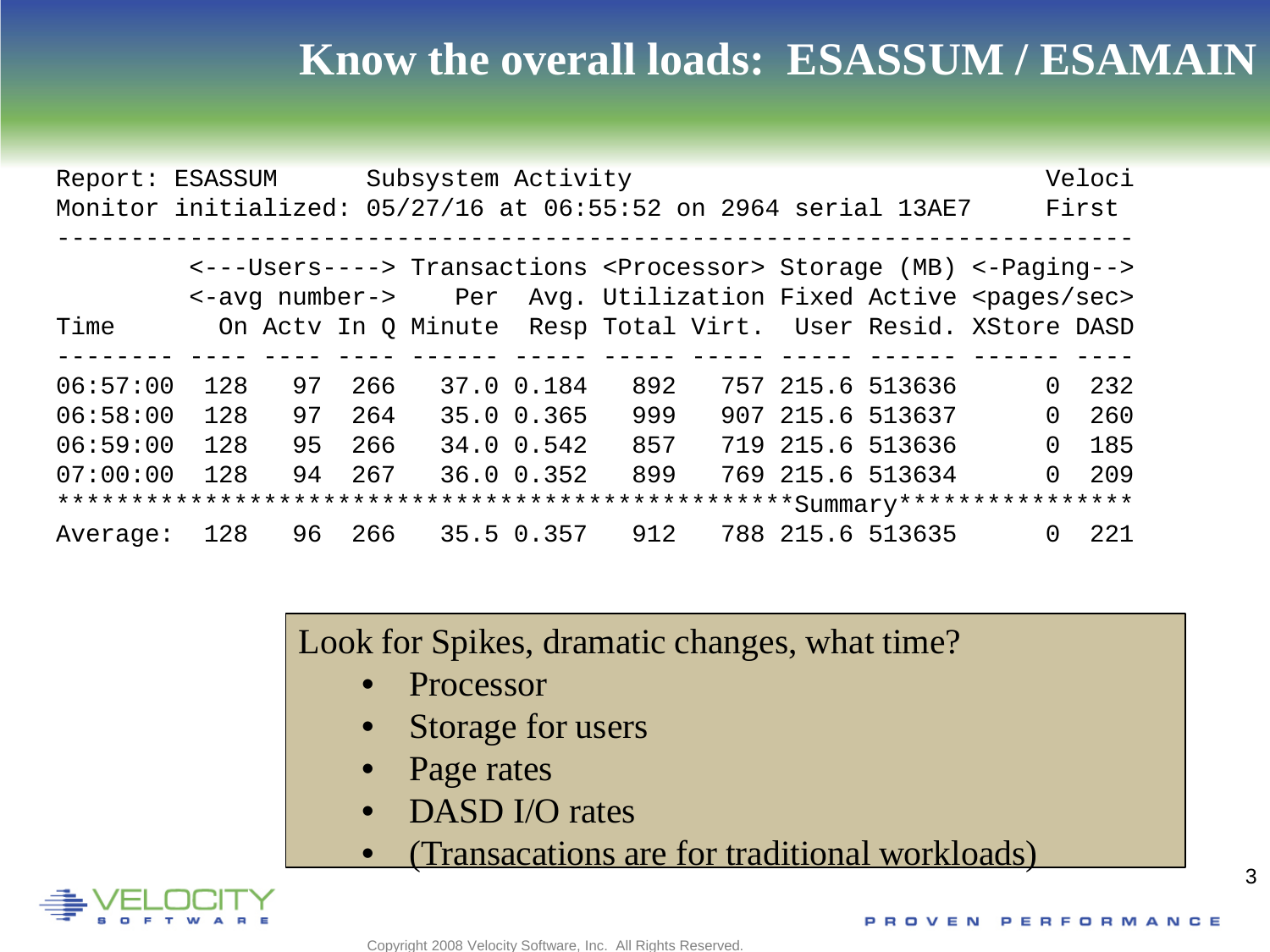#### **Know the overall loads: ESASSUM / ESAMAIN**

| Report: ESASSUM<br>Monitor initialized: 05/27/16 at 06:55:52 on 2964 serial 13AE7 |     |    |     | Subsystem Activity |            |     |  |                                                                         |          | Veloci<br>First |
|-----------------------------------------------------------------------------------|-----|----|-----|--------------------|------------|-----|--|-------------------------------------------------------------------------|----------|-----------------|
|                                                                                   |     |    |     |                    |            |     |  | <--- Users ----> Transactions < Processor> Storage (MB) <- Paging -->   |          |                 |
|                                                                                   |     |    |     |                    |            |     |  | <-avg number-> Per Avg. Utilization Fixed Active <pages sec=""></pages> |          |                 |
| Time                                                                              |     |    |     |                    |            |     |  | On Acty In Q Minute Resp Total Virt. User Resid. XStore DASD            |          |                 |
|                                                                                   |     |    |     |                    |            |     |  |                                                                         |          |                 |
| 06:57:00                                                                          | 128 | 97 | 266 |                    | 37.0 0.184 | 892 |  | 757 215.6 513636                                                        | $\Omega$ | 232             |
| 06:58:00                                                                          | 128 | 97 | 264 |                    | 35.0 0.365 | 999 |  | 907 215.6 513637                                                        | $\Omega$ | 260             |
| 06:59:00                                                                          | 128 | 95 | 266 |                    | 34.0 0.542 | 857 |  | 719 215.6 513636                                                        | 0        | 185             |
| 07:00:00                                                                          | 128 | 94 | 267 |                    | 36.0 0.352 | 899 |  | 769 215.6 513634                                                        | 0        | 209             |
|                                                                                   |     |    |     |                    |            |     |  |                                                                         |          |                 |
| Average:                                                                          | 128 | 96 | 266 |                    | 35.5 0.357 | 912 |  | 788 215.6 513635                                                        | 0        | 221             |

Look for Spikes, dramatic changes, what time?

- **Processor**
- Storage for users
- Page rates
- DASD I/O rates
- (Transacations are for traditional workloads)

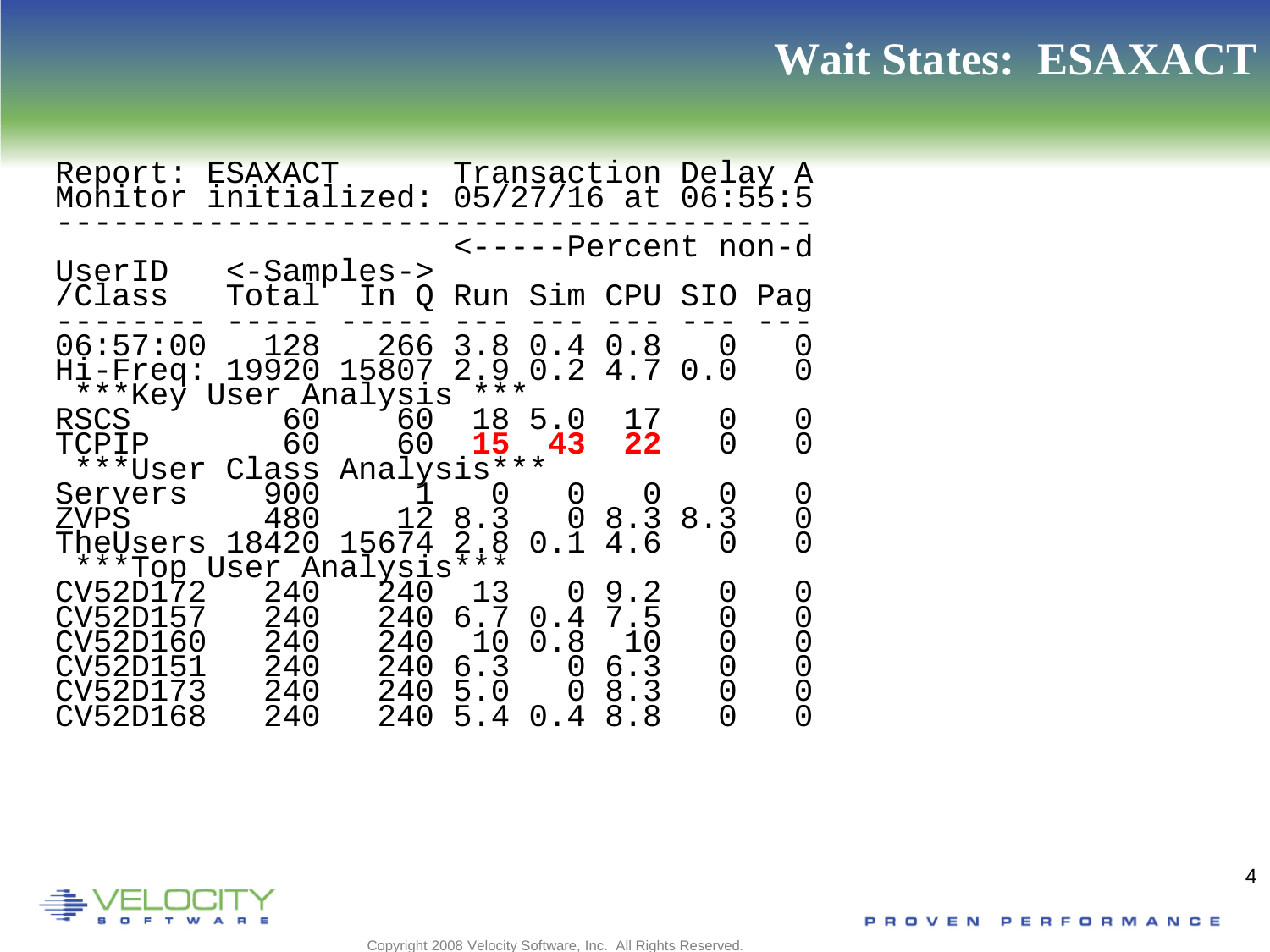#### **Wait States: ESAXACT**

Report: ESAXACT Transaction Delay A Monitor initialized: 05/27/16 at 06:55:5 ---------------------------------------- <-----Percent non-d UserID <-Samples-> /Class Total In Q Run Sim CPU SIO Pag -------- ----- ----- --- --- --- --- --- 06:57:00 128 266 3.8 0.4 0.8 0 0 Hi-Freq: 19920 15807 2.9 0.2 4.7 0.0 0 \*\*\*Key User Analysis \*\*\* RSCS 60 60 18 5.0 17 0 0<br>ESCO 60 15 13 13 0 0 TCPIP 60 60 **15 43 22** 0 0 \*\*\*User Class Analysis\*\*\* Servers 900 1 0 0 0 0 0 The Users 18420 15674 2.8 0.1 4.6 0 0 TheUsers 18420 15674 2.8 0.1 4.6 0 0 \*\*\*Top User Analysis\*\*\* CV52D172 240 240 13 0 9.2 0 0 CV52D157 240 240 6.7 0.4 7.5 0 0 CV52D160 240 240 10 0.8 10 0 0<br>CV52D151 240 240 6.3 0 6.3 0 0<br>CV52D173 240 240 5.0 0 8.3 0 0 CV52D151 240 240 6.3 0 6.3 0 0 CV52D173 240 240 5.0 0 8.3 0 0 CV52D168 240 240 5.4 0.4 8.8 0 0



4

Copyright 2008 Velocity Software, Inc. All Rights Reserved.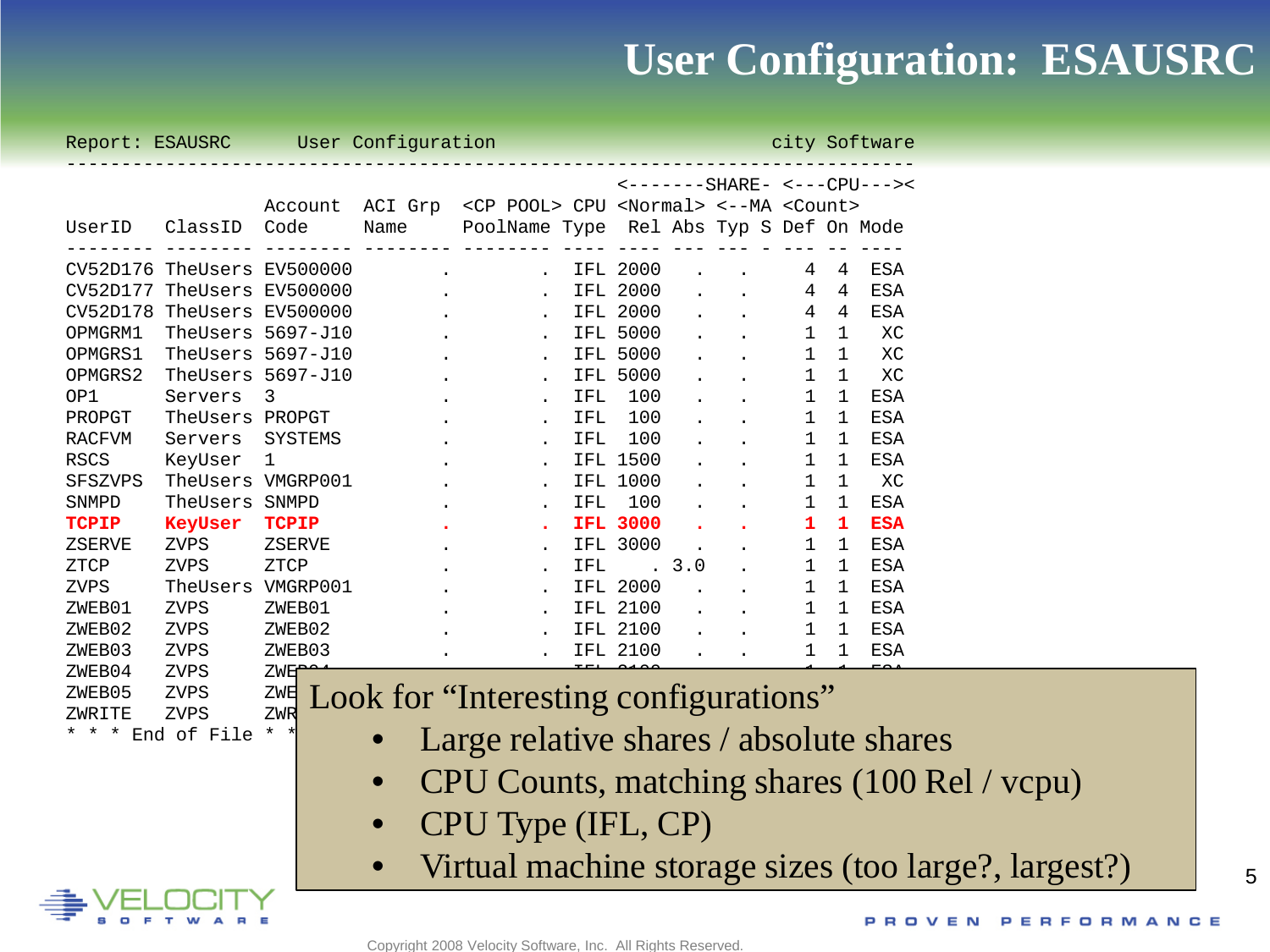#### **User Configuration: ESAUSRC**

|              |                                 |              |           | Report: ESAUSRC User Configuration                                               |     |            |  | city Software                                                            |              |  |         |  |  |
|--------------|---------------------------------|--------------|-----------|----------------------------------------------------------------------------------|-----|------------|--|--------------------------------------------------------------------------|--------------|--|---------|--|--|
|              |                                 |              |           |                                                                                  |     |            |  | <-------SHARE- <---CPU---><                                              |              |  |         |  |  |
|              |                                 |              |           | Account ACI Grp <cp pool=""> CPU <normal> &lt;--MA <count></count></normal></cp> |     |            |  |                                                                          |              |  |         |  |  |
| UserID       |                                 |              |           | ClassID Code Mame PoolName Type Rel Abs Typ S Def On Mode                        |     |            |  |                                                                          |              |  |         |  |  |
|              | CV52D176 TheUsers EV500000      |              |           | . IFL 2000                                                                       |     |            |  |                                                                          |              |  | 4 4 ESA |  |  |
|              | CV52D177 TheUsers EV500000      |              |           | . IFL 2000                                                                       |     |            |  | $\mathbf{r} = \mathbf{r} \cdot \mathbf{r}$ . The set of the $\mathbf{r}$ |              |  | 4 4 ESA |  |  |
|              | CV52D178 TheUsers EV500000      |              |           | . IFL 2000                                                                       |     |            |  |                                                                          |              |  | 4 4 ESA |  |  |
| OPMGRM1      | TheUsers 5697-J10               |              |           | . IFL 5000                                                                       |     |            |  |                                                                          |              |  | 1 1 XC  |  |  |
| OPMGRS1      | TheUsers 5697-J10               |              |           |                                                                                  |     | IFL 5000   |  | $\mathbf{r} = \mathbf{r}$                                                |              |  | 1 1 XC  |  |  |
| OPMGRS2      | TheUsers 5697-J10               |              |           |                                                                                  |     | IFL 5000   |  | $\mathbf{r} = \mathbf{r} \cdot \mathbf{r}$ . The $\mathbf{r}$            |              |  | 1 1 XC  |  |  |
| OP1          | Servers 3                       |              |           |                                                                                  | IFL | 100        |  | $\mathbf{r}$ , and $\mathbf{r}$                                          |              |  | 1 1 ESA |  |  |
|              | PROPGT TheUsers PROPGT          |              |           |                                                                                  | IFL | 100        |  | $\mathbf{r}$ $\mathbf{r}$                                                |              |  | 1 1 ESA |  |  |
| RACFVM       | Servers SYSTEMS                 |              |           |                                                                                  | IFL | 100        |  | $\mathcal{L}^{\text{max}}(\mathcal{L}^{\text{max}})$                     |              |  | 1 1 ESA |  |  |
| RSCS         | KeyUser 1                       |              |           |                                                                                  |     | IFL 1500   |  |                                                                          | $\mathbf{1}$ |  | 1 ESA   |  |  |
| SFSZVPS      | TheUsers VMGRP001               |              |           |                                                                                  |     | IFL 1000   |  |                                                                          |              |  | 1 1 XC  |  |  |
| SNMPD        | TheUsers SNMPD                  |              |           |                                                                                  | IFL | 100        |  |                                                                          |              |  | 1 1 ESA |  |  |
| <b>TCPIP</b> | KeyUser                         | <b>TCPIP</b> |           | . IFL 3000                                                                       |     |            |  |                                                                          |              |  | 1 1 ESA |  |  |
| ZSERVE       | ZVPS                            | ZSERVE       |           |                                                                                  |     | IFL 3000   |  |                                                                          |              |  | 1 1 ESA |  |  |
| ZTCP         | ZVPS                            | ZTCP         |           |                                                                                  | IFL | . 3.0      |  |                                                                          |              |  | 1 1 ESA |  |  |
| ZVPS         | TheUsers VMGRP001               |              |           |                                                                                  |     | IFL 2000   |  | $\sim 10$                                                                |              |  | 1 1 ESA |  |  |
| ZWEB01       | ZVPS                            | ZWEB01       |           | . IFL 2100                                                                       |     |            |  |                                                                          |              |  | 1 1 ESA |  |  |
| ZWEB02       | ZVPS                            | ZWEB02       |           |                                                                                  |     | . IFL 2100 |  |                                                                          | $\mathbf{1}$ |  | 1 ESA   |  |  |
| ZWEB03       | ZVPS                            | ZWEB03       |           |                                                                                  |     | IFL 2100   |  |                                                                          |              |  | 1 1 ESA |  |  |
| ZWEB04       | ZVPS                            | <b>ZWE</b>   |           |                                                                                  |     |            |  |                                                                          |              |  |         |  |  |
| ZWEB05       | ZVPS                            | ZWE          |           | Look for "Interesting configurations"                                            |     |            |  |                                                                          |              |  |         |  |  |
| ZWRITE       | ZVPS                            | ZWR          |           |                                                                                  |     |            |  |                                                                          |              |  |         |  |  |
|              | * * * End of File * *           |              |           | Large relative shares / absolute shares                                          |     |            |  |                                                                          |              |  |         |  |  |
|              |                                 |              | $\bullet$ | CPU Counts, matching shares (100 Rel / vcpu)                                     |     |            |  |                                                                          |              |  |         |  |  |
|              | CPU Type (IFL, CP)<br>$\bullet$ |              |           |                                                                                  |     |            |  |                                                                          |              |  |         |  |  |
|              |                                 |              | $\bullet$ | Virtual machine storage sizes (too large?, largest?)                             |     |            |  |                                                                          |              |  |         |  |  |
|              |                                 |              |           |                                                                                  |     |            |  |                                                                          |              |  |         |  |  |

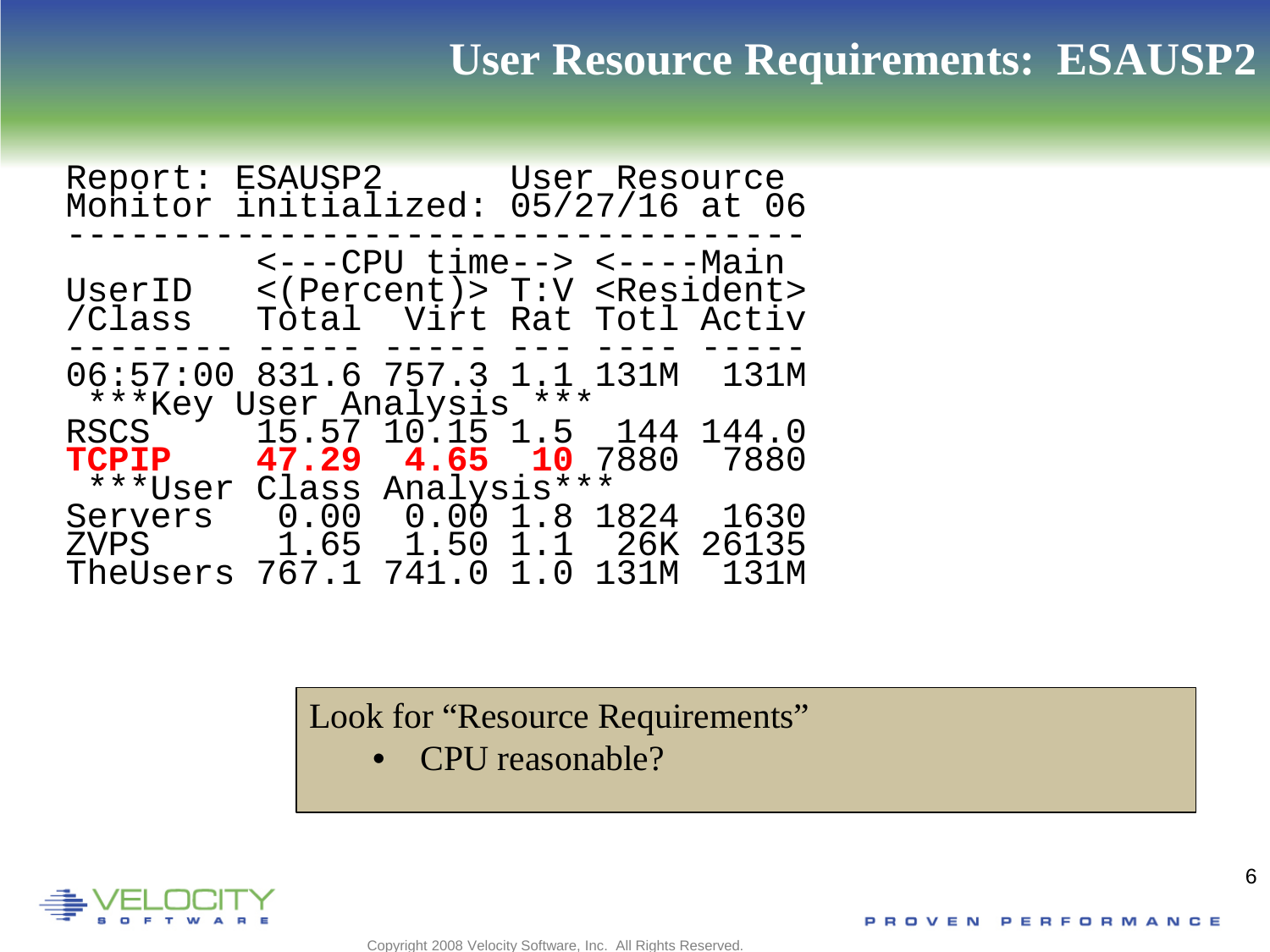#### **User Resource Requirements: ESAUSP2**

| Report:<br>Monitor                                        | ESAUSP2           User Resource<br>initialized: 05/27/16 at 06 |                                                                                                  |  |                       |
|-----------------------------------------------------------|----------------------------------------------------------------|--------------------------------------------------------------------------------------------------|--|-----------------------|
| UserID<br>/Class                                          |                                                                | <---CPU time--> <----Main<br><(Percent)> T:V <resident><br/>Total Virt Rat Totl Activ</resident> |  |                       |
| 06:57:00 831.6 757.3 1.1 131M<br>***Key User Analysis *** |                                                                |                                                                                                  |  | 131M                  |
| RSCS<br>TCPIP                                             |                                                                | 15.57 10.15 1.5 144<br>47.29 4.65 10 7880                                                        |  | 144.0<br>7880         |
| ***User<br>Servers<br>ZVPS<br>TheUsers                    | 767.1                                                          | Class Analysis***<br>$0.00$ $0.00$ $1.8$ $1824$<br>1.65    1.50    1.1    26K<br>741.0 1.0 131M  |  | 1630<br>26135<br>131M |

Look for "Resource Requirements"

Copyright 2008 Velocity Software, Inc. All Rights Reserved.

• CPU reasonable?

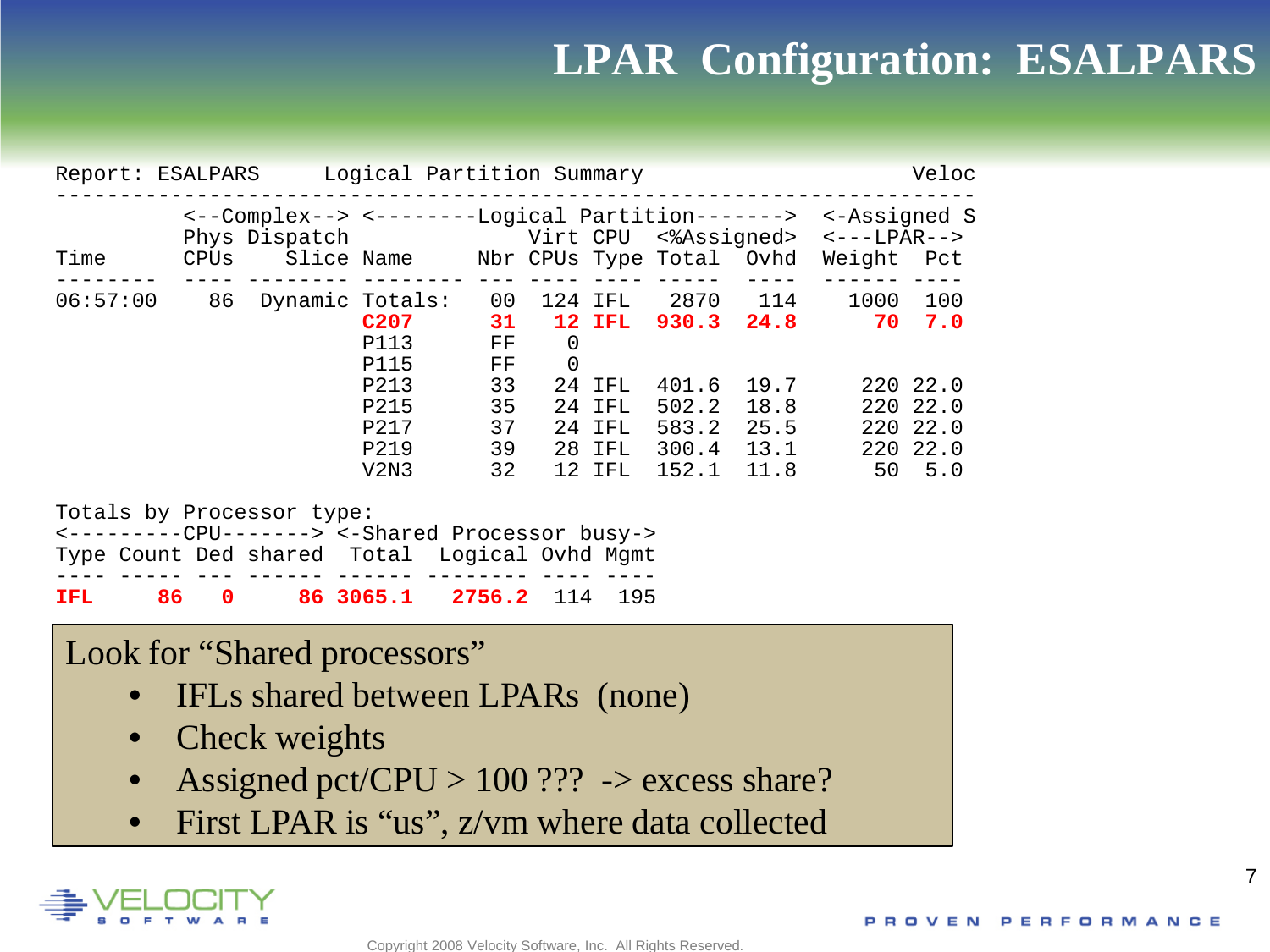#### **LPAR Configuration: ESALPARS**

|                                                                                                                                       | Logical Partition Summary<br>Report: ESALPARS<br>Veloc |                                                                                                               |                                                                          |                                                    |                     |                                                                            |                                                                   |                                  |                                                            |                                                               |  |
|---------------------------------------------------------------------------------------------------------------------------------------|--------------------------------------------------------|---------------------------------------------------------------------------------------------------------------|--------------------------------------------------------------------------|----------------------------------------------------|---------------------|----------------------------------------------------------------------------|-------------------------------------------------------------------|----------------------------------|------------------------------------------------------------|---------------------------------------------------------------|--|
| Time                                                                                                                                  |                                                        | <--Complex--> <--------Logical Partition-------><br>Phys Dispatch<br>CPUs Slice Name Nbr CPUs Type Total Ovhd |                                                                          |                                                    |                     |                                                                            | Virt CPU <%Assigned>                                              |                                  | <-Assigned S<br>$\leftarrow$ - - - LPAR - -><br>Weight Pct |                                                               |  |
| 06:57:00                                                                                                                              |                                                        | 86 Dynamic Totals:                                                                                            | C <sub>207</sub><br>P113<br>P115<br>P213<br>P215<br>P217<br>P219<br>V2N3 | 00<br>31<br>FF<br>FF<br>33<br>35<br>37<br>39<br>32 | 0<br>$\overline{0}$ | 124 IFL<br><b>12 IFL</b><br>24 IFL<br>24 IFL<br>24 IFL<br>28 IFL<br>12 IFL | 930.3 24.8<br>401.6<br>502.2<br>583.2 25.5<br>300.4 13.1<br>152.1 | 2870 114<br>19.7<br>18.8<br>11.8 | 1000<br>70<br>220<br>50                                    | 100<br>7.0<br>220 22.0<br>220 22.0<br>220 22.0<br>22.0<br>5.0 |  |
| Totals by Processor type:<br><---------CPU-------> <-Shared Processor busy-><br>Type Count Ded shared Total Logical Ovhd Mgmt<br>IFL. | 86<br>$\mathbf 0$                                      |                                                                                                               | 86 3065.1                                                                | 2756.2                                             | 114                 | 195                                                                        |                                                                   |                                  |                                                            |                                                               |  |

#### Look for "Shared processors"

- IFLs shared between LPARs (none)
- Check weights
- Assigned pct/CPU >  $100$  ??? -> excess share?
- First LPAR is "us", z/vm where data collected

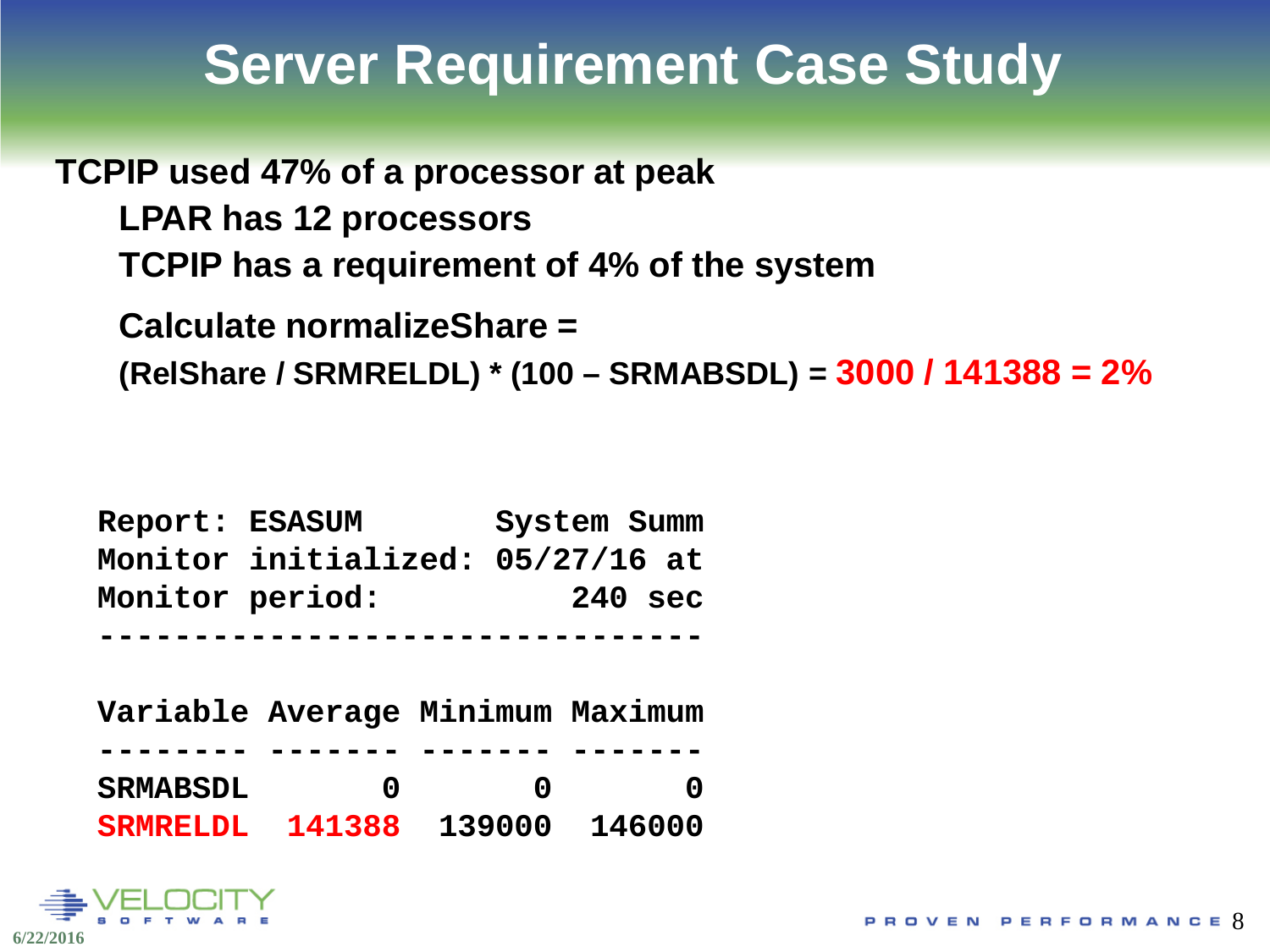## **Server Requirement Case Study**

**TCPIP used 47% of a processor at peak LPAR has 12 processors TCPIP has a requirement of 4% of the system** 

**Calculate normalizeShare =** 

**(RelShare / SRMRELDL) \* (100 – SRMABSDL) = 3000 / 141388 = 2%**

**Report: ESASUM System Summ Monitor initialized: 05/27/16 at Monitor period: 240 sec --------------------------------**

**Variable Average Minimum Maximum -------- ------- ------- ------- SRMABSDL 0 0 0 SRMRELDL 141388 139000 146000**

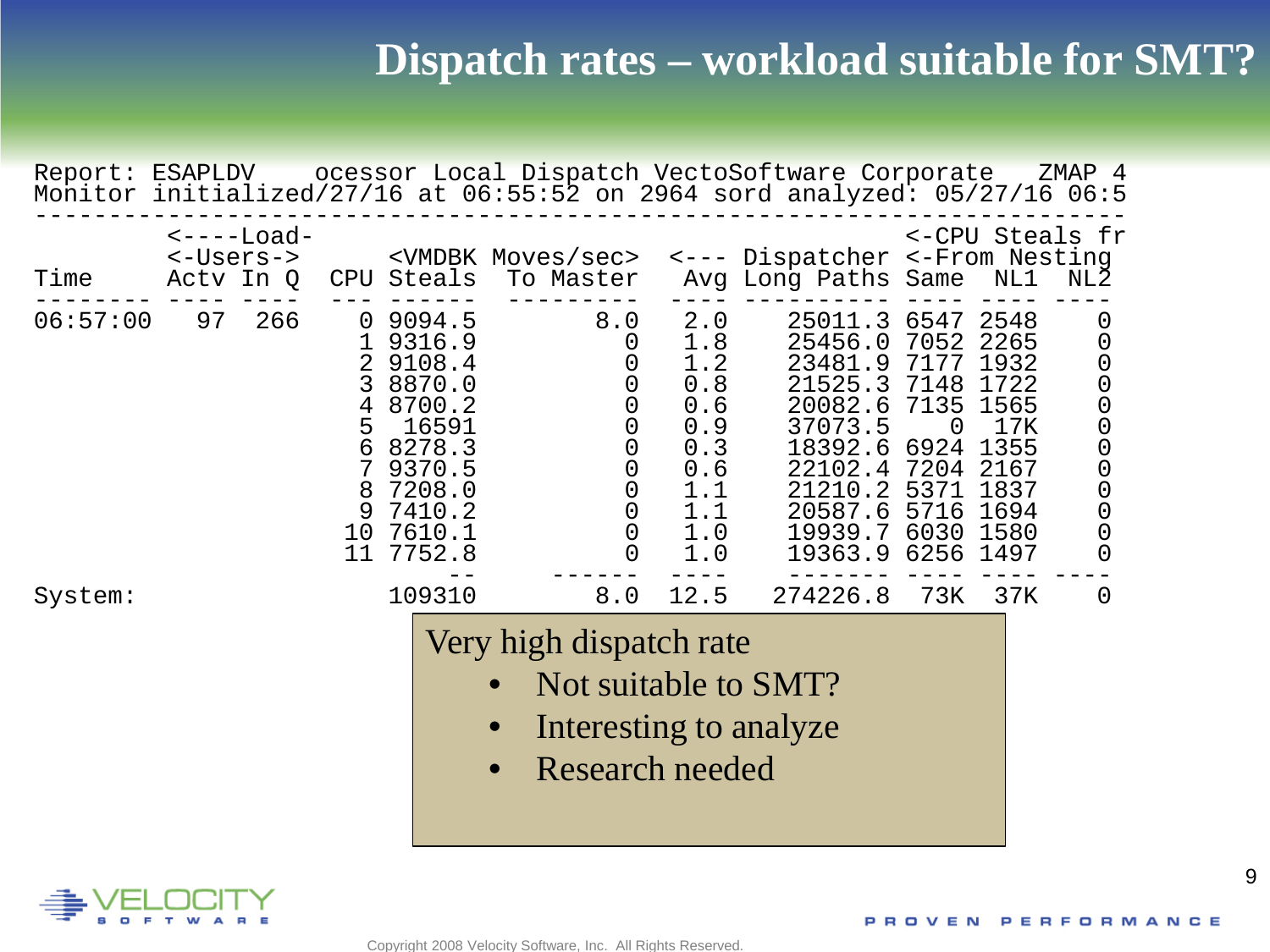| Report: ESAPLDV |    |                                      |                                                                    |                                                                                                                     |           |                                                                                                                          |                                                                                                                                                                                      | ocessor Local Dispatch VectoSoftware Corporate ZMAP 4<br>Monitor initialized/27/16 at 06:55:52 on 2964 sord analyzed: 05/27/16 06:5        |                                                                           |                                                                                             |                                                                                                                                                                   |
|-----------------|----|--------------------------------------|--------------------------------------------------------------------|---------------------------------------------------------------------------------------------------------------------|-----------|--------------------------------------------------------------------------------------------------------------------------|--------------------------------------------------------------------------------------------------------------------------------------------------------------------------------------|--------------------------------------------------------------------------------------------------------------------------------------------|---------------------------------------------------------------------------|---------------------------------------------------------------------------------------------|-------------------------------------------------------------------------------------------------------------------------------------------------------------------|
| Time            |    | <−-−-Load-<br><-Users-><br>Actv In Q | CPU                                                                | <vmdbk moves="" sec=""><br/>Steals</vmdbk>                                                                          | To Master |                                                                                                                          |                                                                                                                                                                                      | <--- Dispatcher <-From Nesting<br>Avg Long Paths Same                                                                                      |                                                                           | NL1                                                                                         | <-CPU Steals fr<br>NL2                                                                                                                                            |
| 06:57:00        | 97 | 266                                  | $\overline{0}$<br>2<br>3<br>4<br>5<br>6<br>7<br>8<br>9<br>10<br>11 | 9094.5<br>9316.9<br>9108.4<br>8870.0<br>8700.2<br>16591<br>8278.3<br>9370.5<br>7208.0<br>7410.2<br>7610.1<br>7752.8 |           | 8.0<br>0<br>0<br>000<br>$\mathbf 0$<br>$\theta$<br>$\begin{smallmatrix} 0\\0 \end{smallmatrix}$<br>$\boldsymbol{0}$<br>0 | 2.0<br>1.8<br>1.2<br>0.8<br>0.6<br>0.9<br>0.3<br>0.6<br>$\begin{smallmatrix}1\,\textcolor{red}{\mathbf{.}}\, 1\\ 1\,\textcolor{red}{\mathbf{.}}\, 1 \end{smallmatrix}$<br>1.0<br>1.0 | 25011.3<br>25456.0<br>23481.9<br>21525.3 7148<br>20082.6<br>37073.5<br>18392.6<br>22102.4<br>21210.2<br>20587.6<br>19939.7<br>19363.9 6256 | 6547<br>7052<br>7177<br>7135<br>0<br>6924<br>7204<br>5371<br>5716<br>6030 | 2548<br>2265<br>1932<br>1722<br>1565<br>17K<br>1355<br>2167<br>1837<br>1694<br>1580<br>1497 | $\overline{0}$<br>$\mathbf 0$<br>$\begin{smallmatrix} 0\\0 \end{smallmatrix}$<br>$\mathbf 0$<br>$\mathbf 0$<br>$\mathbf 0$<br>$\mathbf 0$<br>$\hbox{O}$<br>0<br>0 |
| System:         |    |                                      |                                                                    | 109310                                                                                                              |           | 8.0                                                                                                                      | 12.5<br>Very high dispatch rate<br><b>Research needed</b>                                                                                                                            | 274226.8<br>Not suitable to SMT?<br>Interesting to analyze                                                                                 | 73K                                                                       | 37K                                                                                         | 0                                                                                                                                                                 |

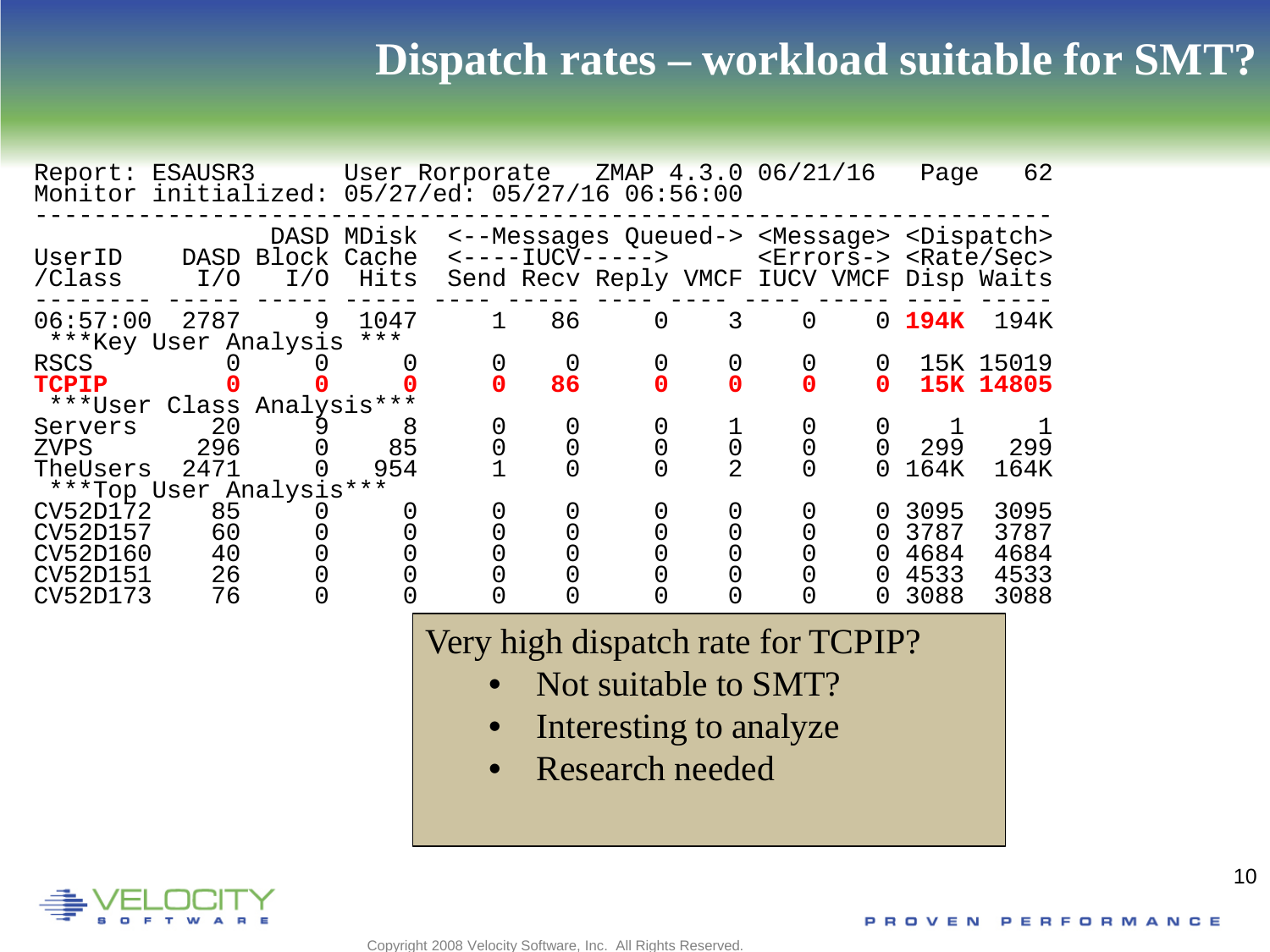| Report: ESAUSR3 User Rorporate ZMAP 4.3.0 06/21/16<br>Monitor initialized: 05/27/ed: 05/27/16 06:56:00 |                            |                    |                    |        |    |                                                                                                                                                                                 |                                  |                |                                | Page                                 | 62                                   |
|--------------------------------------------------------------------------------------------------------|----------------------------|--------------------|--------------------|--------|----|---------------------------------------------------------------------------------------------------------------------------------------------------------------------------------|----------------------------------|----------------|--------------------------------|--------------------------------------|--------------------------------------|
| UserID<br>/Class                                                                                       | DASD<br>I/O                | Block Cache<br>I/O | DASD MDisk<br>Hits |        |    | <--Messages Queued-> <message> <dispatch><br/>&lt;----IUCV-----&gt; <errors-> <rate sec=""><br/>Send Recv Reply VMCF IUCV VMCF Disp Waits</rate></errors-></dispatch></message> |                                  |                |                                |                                      |                                      |
| 06:57:00<br>***Key User Analysis                                                                       | 2787                       | 9                  | 1047<br>$***$      |        | 86 | $\overline{0}$                                                                                                                                                                  | 3                                | $\overline{0}$ | $\Omega$                       | 194K                                 | 194K                                 |
| <b>RSCS</b><br><b>TCPIP</b>                                                                            |                            |                    |                    | 0      | 86 |                                                                                                                                                                                 |                                  | $\mathbf 0$    | 0<br>0                         |                                      | 15K 15019<br>15K 14805               |
| ***User Class Analysis***<br>Servers<br>ZVPS<br>TheUsers                                               | 20<br>296<br>2471          | 9                  | 8<br>85<br>954     | 0<br>0 |    |                                                                                                                                                                                 | $\overline{0}$<br>$\overline{2}$ | 0              | 0                              | 299<br>164K                          | 299<br>164K                          |
| ***Top User Analysis***<br>CV52D172<br>CV52D157<br>CV52D160<br>CV52D151<br>CV52D173                    | 85<br>60<br>40<br>26<br>76 |                    |                    | 0      |    |                                                                                                                                                                                 |                                  | 0              | $\Omega$<br>0<br>0<br>$\Omega$ | 3095<br>3787<br>4684<br>4533<br>3088 | 3095<br>3787<br>4684<br>4533<br>3088 |

Very high dispatch rate for TCPIP?

- Not suitable to SMT?
- Interesting to analyze
- Research needed

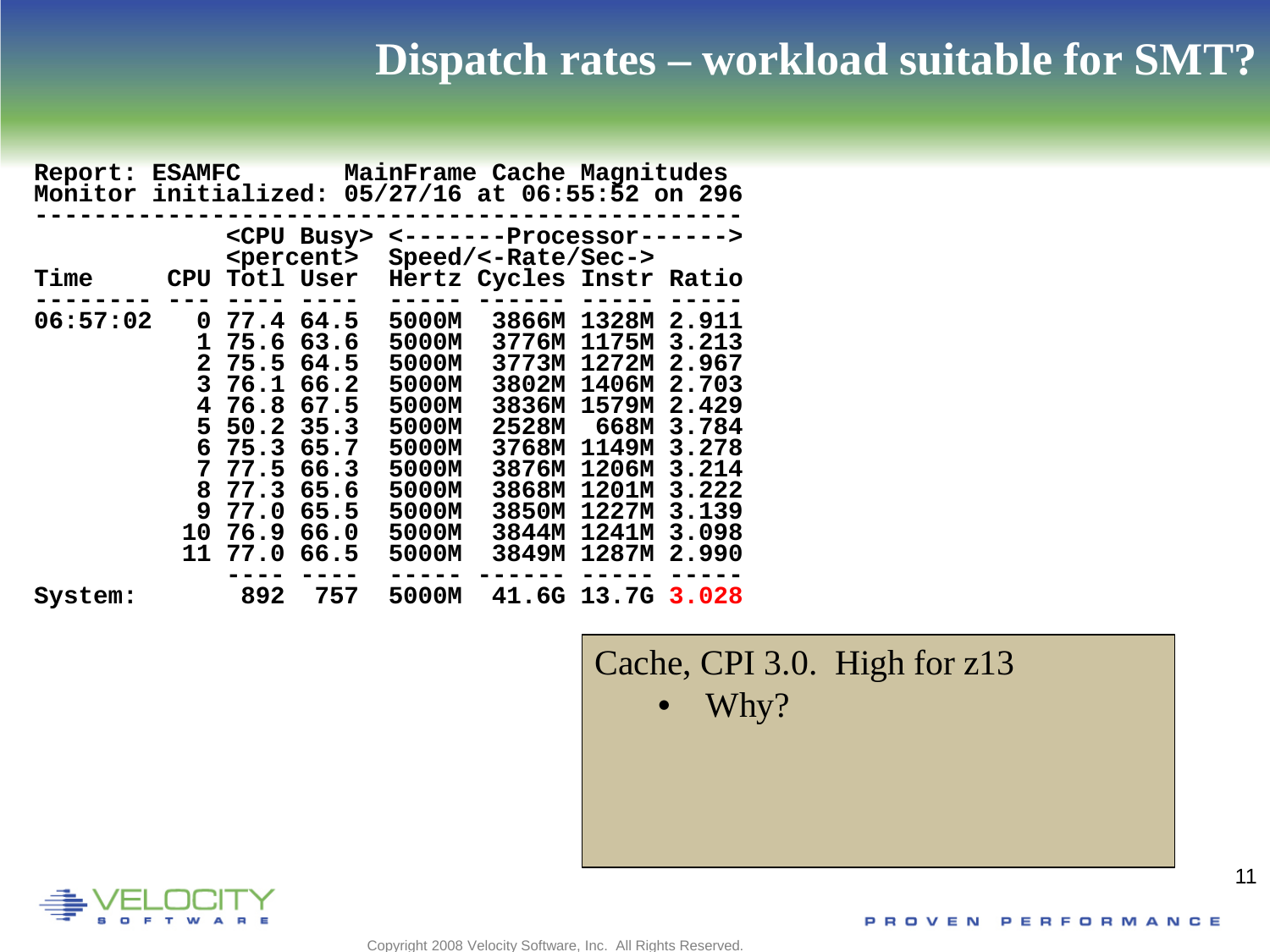| Report:<br>Monitor initialized: 05/27/16 at 06:55:52 on 296 | <b>ESAMFC</b> |      |                                             |       | MainFrame Cache Magnitudes                       |                   |       |
|-------------------------------------------------------------|---------------|------|---------------------------------------------|-------|--------------------------------------------------|-------------------|-------|
|                                                             |               |      | <cpu busy=""><br/><percent></percent></cpu> |       | <-------Processor------><br>$Speed/<-Rate/Sec->$ |                   |       |
| <b>Time</b>                                                 | <b>CPU</b>    |      | Totl User                                   |       | Hertz Cycles Instr Ratio                         |                   |       |
|                                                             |               |      |                                             |       |                                                  |                   |       |
| 06:57:02                                                    | 0             | 77.4 | 64.5                                        | 5000M | 3866M                                            | 1328M             | 2.911 |
|                                                             | 1             | 75.6 | 63.6                                        | 5000M | 3776M                                            | 1175M             | 3.213 |
|                                                             | $\mathbf{2}$  | 75.5 | 64.5                                        | 5000M | 3773M                                            | 1272M             | 2.967 |
|                                                             | 3             | 76.1 | 66.2                                        | 5000M | 3802M                                            | 1406M             | 2.703 |
|                                                             | 4             | 76.8 | 67.5                                        | 5000M | 3836M 1579M                                      |                   | 2.429 |
|                                                             | 5             | 50.2 | 35.3                                        | 5000M | 2528M 668M                                       |                   | 3.784 |
|                                                             | 6             | 75.3 | 65.7                                        | 5000M |                                                  | 3768M 1149M       | 3.278 |
|                                                             | 7             | 77.5 | 66.3                                        | 5000M | 3876M                                            | 1206M             | 3.214 |
|                                                             | 8             | 77.3 | 65.6                                        | 5000M | 3868M                                            | 1201M             | 3.222 |
|                                                             | 9             | 77.0 | 65.5                                        | 5000M | 3850M                                            | 1227M             | 3.139 |
|                                                             | 10            | 76.9 | 66.0                                        | 5000M | 3844M                                            | 1241M             | 3.098 |
|                                                             | 11            | 77.0 | 66.5                                        | 5000M | 3849M                                            | 1287M             | 2.990 |
|                                                             |               |      |                                             |       |                                                  |                   |       |
| System:                                                     |               | 892  | 757                                         | 5000M |                                                  | 41.6G 13.7G 3.028 |       |

Cache, CPI 3.0. High for z13 • Why?

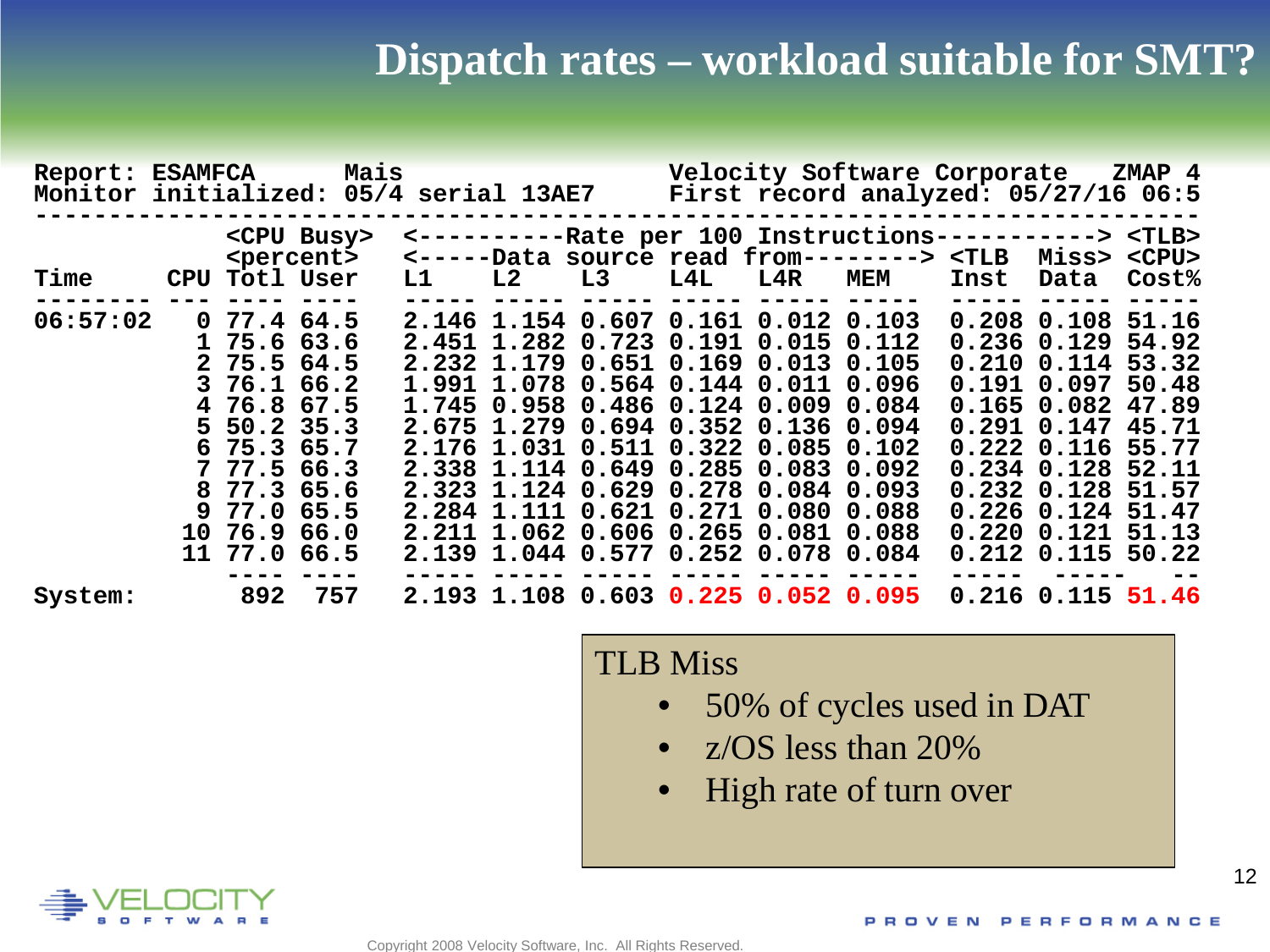| Report: ESAMFCA<br>Monitor initialized: 05/4 serial 13AE7 |                                                                                                                                                                                                      | Mais                                        |    |                            |                                                                                                                                                                                                                                                                                                                                                                                                                               |     |                         | Velocity Software Corporate ZMAP 4<br>First record analyzed: 05/27/16 06:5                                                              |       |                                                                                                                                                                                                                                                  |                                           |
|-----------------------------------------------------------|------------------------------------------------------------------------------------------------------------------------------------------------------------------------------------------------------|---------------------------------------------|----|----------------------------|-------------------------------------------------------------------------------------------------------------------------------------------------------------------------------------------------------------------------------------------------------------------------------------------------------------------------------------------------------------------------------------------------------------------------------|-----|-------------------------|-----------------------------------------------------------------------------------------------------------------------------------------|-------|--------------------------------------------------------------------------------------------------------------------------------------------------------------------------------------------------------------------------------------------------|-------------------------------------------|
| <b>Time</b>                                               | CPU Totl User                                                                                                                                                                                        | <cpu busy=""><br/><percent></percent></cpu> | L1 | L3<br>L2                   |                                                                                                                                                                                                                                                                                                                                                                                                                               | L4L | $\mathtt{L4R}$          | <----------Rate per 100 Instructions-----------> <tlb><br/>&lt;-----Data source read from--------&gt; <tlb<br><b>MEM</b></tlb<br></tlb> | Inst  | Miss><br>Data                                                                                                                                                                                                                                    | $<$ CPU $>$<br>Cost <sup>8</sup>          |
| 06:57:02                                                  | 0.77.4.64.5<br>$1\,75.6\,63.6$<br>$2\;\;75.5\;\;64.5$<br>3 76.1 66.2<br>4 76.8 67.5<br>$5\,50.2\,35.3$<br>675.365.7<br>$7\;77.5\;66.3$<br>8 77.3 65.6<br>9 77.0 65.5<br>10 76.9 66.0<br>11 77.0 66.5 |                                             |    | 2.675 1.279<br>2.284 1.111 | 2.146 1.154 0.607 0.161 0.012 0.103<br>2.451 1.282 0.723 0.191 0.015 0.112<br>2.232 1.179 0.651 0.169 0.013 0.105<br>1.991 1.078 0.564 0.144 0.011 0.096<br>1.745 0.958 0.486 0.124 0.009 0.084<br>0.694 0.352 0.136 0.094<br>2.176 1.031 0.511 0.322 0.085 0.102<br>2.338 1.114 0.649 0.285 0.083 0.092<br>2.323 1.124 0.629 0.278 0.084 0.093<br>2.211 1.062 0.606 0.265 0.081 0.088<br>2.139 1.044 0.577 0.252 0.078 0.084 |     | $0.621$ $0.271$ $0.080$ | 0.088                                                                                                                                   | 0.291 | 0.208 0.108 51.16<br>$0.236$ $0.129$ 54.92<br>$0.210$ $0.114$ 53.32<br>$0.191$ $0.097$<br>0.165 0.082 47.89<br>0.147<br>0.222 0.116 55.77<br>$0.234$ $0.128$<br>0.232 0.128 51.57<br>$0.226$ $0.124$<br>$0.220$ $0.121$<br>$0.212$ $0.115$ 50.22 | 50.48<br>45.71<br>52.11<br>51.47<br>51.13 |
| System:                                                   |                                                                                                                                                                                                      | 892 757                                     |    |                            | 2.193 1.108 0.603 0.225 0.052 0.095                                                                                                                                                                                                                                                                                                                                                                                           |     |                         |                                                                                                                                         |       | $0.216$ $0.115$ $51.46$                                                                                                                                                                                                                          |                                           |

TLB Miss

- 50% of cycles used in DAT
- z/OS less than 20%
- High rate of turn over

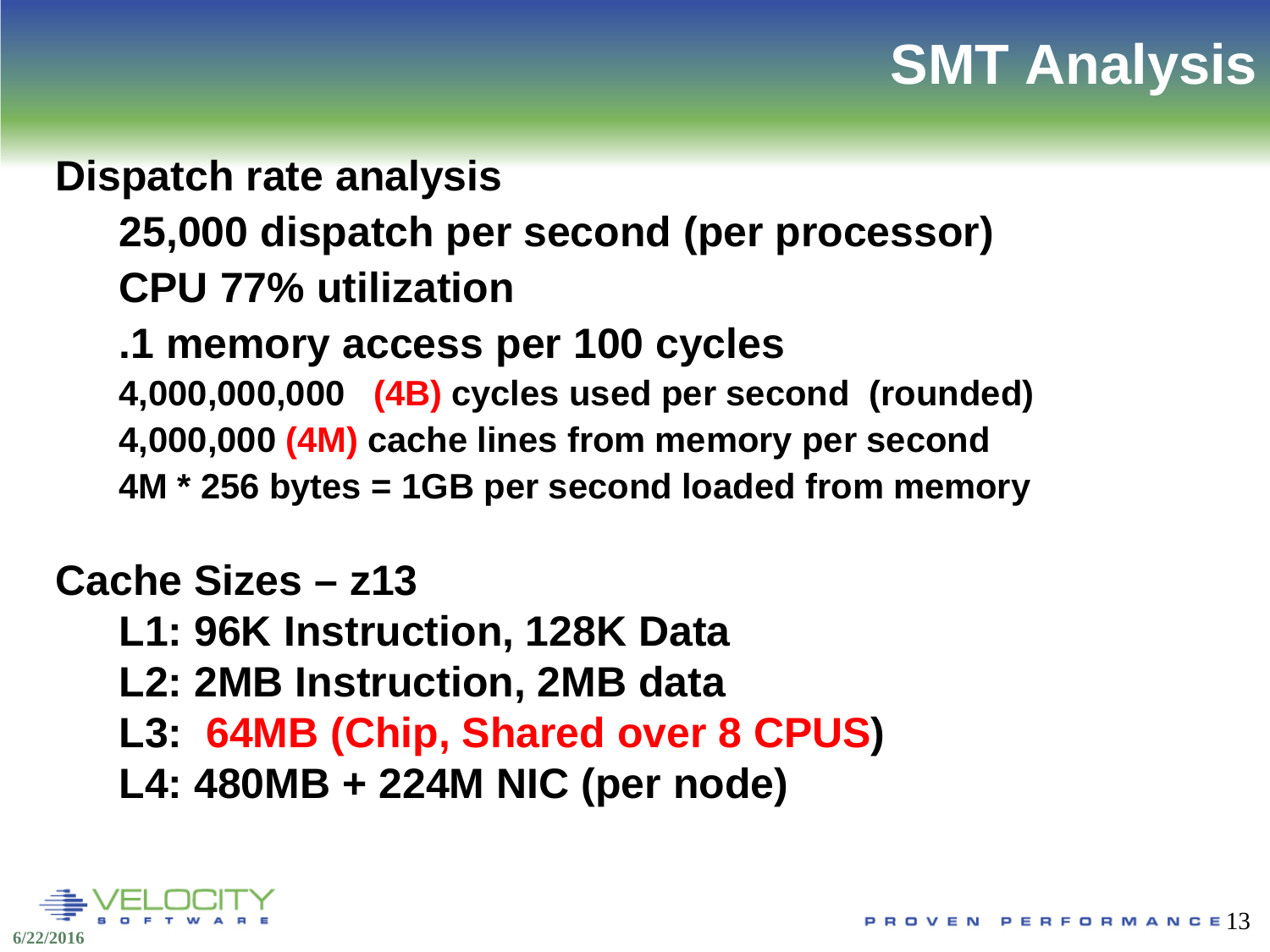## **SMT Analysis**

## **Dispatch rate analysis**

#### **25,000 dispatch per second (per processor)**

#### **CPU 77% utilization**

#### **.1 memory access per 100 cycles**

**4,000,000,000 (4B) cycles used per second (rounded) 4,000,000 (4M) cache lines from memory per second 4M \* 256 bytes = 1GB per second loaded from memory**

#### **Cache Sizes – z13**

- **L1: 96K Instruction, 128K Data**
- **L2: 2MB Instruction, 2MB data**
- **L3: 64MB (Chip, Shared over 8 CPUS)**
- **L4: 480MB + 224M NIC (per node)**